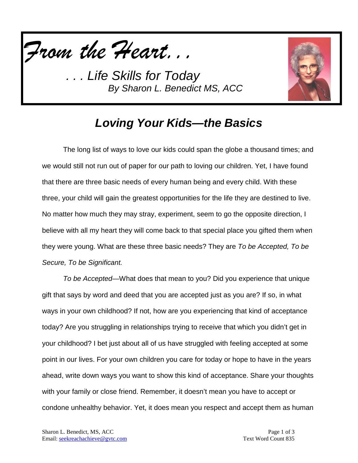

. Life Skills for Today *By Sharon L. Benedict MS, ACC*



## *Loving Your Kids—the Basics*

The long list of ways to love our kids could span the globe a thousand times; and we would still not run out of paper for our path to loving our children. Yet, I have found that there are three basic needs of every human being and every child. With these three, your child will gain the greatest opportunities for the life they are destined to live. No matter how much they may stray, experiment, seem to go the opposite direction, I believe with all my heart they will come back to that special place you gifted them when they were young. What are these three basic needs? They are *To be Accepted, To be Secure, To be Significant.*

*To be Accepted—*What does that mean to you? Did you experience that unique gift that says by word and deed that you are accepted just as you are? If so, in what ways in your own childhood? If not, how are you experiencing that kind of acceptance today? Are you struggling in relationships trying to receive that which you didn't get in your childhood? I bet just about all of us have struggled with feeling accepted at some point in our lives. For your own children you care for today or hope to have in the years ahead, write down ways you want to show this kind of acceptance. Share your thoughts with your family or close friend. Remember, it doesn't mean you have to accept or condone unhealthy behavior. Yet, it does mean you respect and accept them as human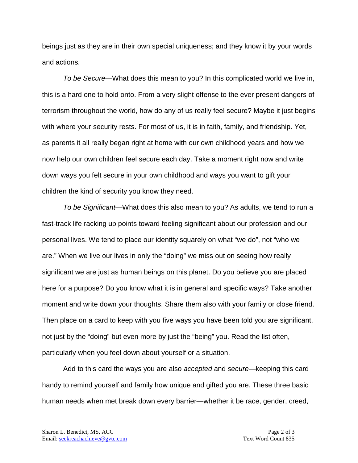beings just as they are in their own special uniqueness; and they know it by your words and actions.

*To be Secure—*What does this mean to you? In this complicated world we live in, this is a hard one to hold onto. From a very slight offense to the ever present dangers of terrorism throughout the world, how do any of us really feel secure? Maybe it just begins with where your security rests. For most of us, it is in faith, family, and friendship. Yet, as parents it all really began right at home with our own childhood years and how we now help our own children feel secure each day. Take a moment right now and write down ways you felt secure in your own childhood and ways you want to gift your children the kind of security you know they need.

*To be Significant—*What does this also mean to you? As adults, we tend to run a fast-track life racking up points toward feeling significant about our profession and our personal lives. We tend to place our identity squarely on what "we do", not "who we are." When we live our lives in only the "doing" we miss out on seeing how really significant we are just as human beings on this planet. Do you believe you are placed here for a purpose? Do you know what it is in general and specific ways? Take another moment and write down your thoughts. Share them also with your family or close friend. Then place on a card to keep with you five ways you have been told you are significant, not just by the "doing" but even more by just the "being" you. Read the list often, particularly when you feel down about yourself or a situation.

Add to this card the ways you are also *accepted* and *secure*—keeping this card handy to remind yourself and family how unique and gifted you are. These three basic human needs when met break down every barrier—whether it be race, gender, creed,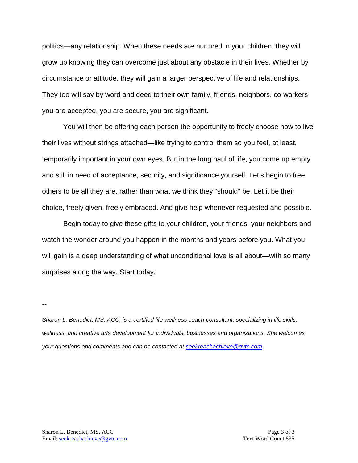politics—any relationship. When these needs are nurtured in your children, they will grow up knowing they can overcome just about any obstacle in their lives. Whether by circumstance or attitude, they will gain a larger perspective of life and relationships. They too will say by word and deed to their own family, friends, neighbors, co-workers you are accepted, you are secure, you are significant.

You will then be offering each person the opportunity to freely choose how to live their lives without strings attached—like trying to control them so you feel, at least, temporarily important in your own eyes. But in the long haul of life, you come up empty and still in need of acceptance, security, and significance yourself. Let's begin to free others to be all they are, rather than what we think they "should" be. Let it be their choice, freely given, freely embraced. And give help whenever requested and possible.

Begin today to give these gifts to your children, your friends, your neighbors and watch the wonder around you happen in the months and years before you. What you will gain is a deep understanding of what unconditional love is all about—with so many surprises along the way. Start today.

--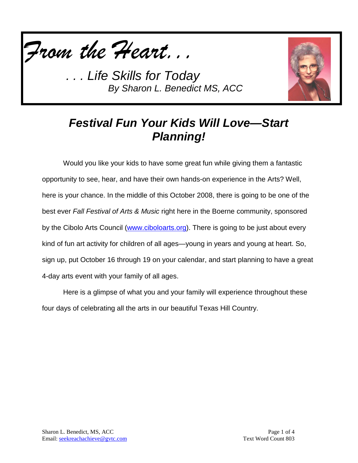

*. Life Skills for Today By Sharon L. Benedict MS, ACC*



## *Festival Fun Your Kids Will Love—Start Planning!*

Would you like your kids to have some great fun while giving them a fantastic opportunity to see, hear, and have their own hands-on experience in the Arts? Well, here is your chance. In the middle of this October 2008, there is going to be one of the best ever *Fall Festival of Arts & Music* right here in the Boerne community, sponsored by the Cibolo Arts Council [\(www.ciboloarts.org\)](http://www.ciboloarts.org/). There is going to be just about every kind of fun art activity for children of all ages—young in years and young at heart. So, sign up, put October 16 through 19 on your calendar, and start planning to have a great 4-day arts event with your family of all ages.

Here is a glimpse of what you and your family will experience throughout these four days of celebrating all the arts in our beautiful Texas Hill Country.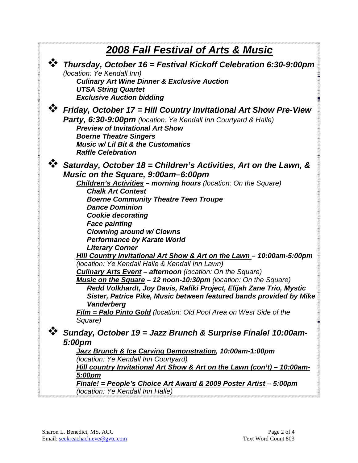| <b>2008 Fall Festival of Arts &amp; Music</b> |                                                                                                                                                                                                                                                                                                                                                                                                                                                                                                                                                                                                                                                                                                                                                                                                                                                               |
|-----------------------------------------------|---------------------------------------------------------------------------------------------------------------------------------------------------------------------------------------------------------------------------------------------------------------------------------------------------------------------------------------------------------------------------------------------------------------------------------------------------------------------------------------------------------------------------------------------------------------------------------------------------------------------------------------------------------------------------------------------------------------------------------------------------------------------------------------------------------------------------------------------------------------|
|                                               | → Thursday, October 16 = Festival Kickoff Celebration 6:30-9:00pm<br>(location: Ye Kendall Inn)<br><b>Culinary Art Wine Dinner &amp; Exclusive Auction</b><br><b>UTSA String Quartet</b><br><b>Exclusive Auction bidding</b>                                                                                                                                                                                                                                                                                                                                                                                                                                                                                                                                                                                                                                  |
|                                               | Friday, October 17 = Hill Country Invitational Art Show Pre-View<br>Party, 6:30-9:00pm (location: Ye Kendall Inn Courtyard & Halle)<br><b>Preview of Invitational Art Show</b><br><b>Boerne Theatre Singers</b><br><b>Music w/ Lil Bit &amp; the Customatics</b><br><b>Raffle Celebration</b>                                                                                                                                                                                                                                                                                                                                                                                                                                                                                                                                                                 |
|                                               | Saturday, October 18 = Children's Activities, Art on the Lawn, &<br>Music on the Square, 9:00am-6:00pm<br><b>Children's Activities - morning hours (location: On the Square)</b><br><b>Chalk Art Contest</b><br><b>Boerne Community Theatre Teen Troupe</b><br><b>Dance Dominion</b><br><b>Cookie decorating</b><br><b>Face painting</b><br><b>Clowning around w/ Clowns</b><br><b>Performance by Karate World</b><br><b>Literary Corner</b><br>Hill Country Invitational Art Show & Art on the Lawn - 10:00am-5:00pm<br>(location: Ye Kendall Halle & Kendall Inn Lawn)<br><b>Culinary Arts Event - afternoon</b> (location: On the Square)<br>Music on the Square - 12 noon-10:30pm (location: On the Square)<br>Redd Volkhardt, Joy Davis, Rafiki Project, Elijah Zane Trio, Mystic<br>Sister, Patrice Pike, Music between featured bands provided by Mike |
|                                               | Vanderberg<br><b>Film = Palo Pinto Gold</b> (location: Old Pool Area on West Side of the<br>Square)<br>Sunday, October 19 = Jazz Brunch & Surprise Finale! 10:00am-<br>5:00pm<br>Jazz Brunch & Ice Carving Demonstration, 10:00am-1:00pm<br>(location: Ye Kendall Inn Courtyard)<br>Hill country Invitational Art Show & Art on the Lawn (con't) - 10:00am-<br><u>5:00pm</u><br><u> Finale! = People's Choice Art Award &amp; 2009 Poster Artist</u> – 5:00pm<br>(location: Ye Kendall Inn Halle)                                                                                                                                                                                                                                                                                                                                                             |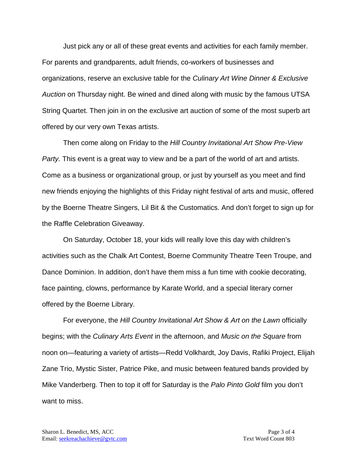Just pick any or all of these great events and activities for each family member. For parents and grandparents, adult friends, co-workers of businesses and organizations, reserve an exclusive table for the *Culinary Art Wine Dinner & Exclusive Auction* on Thursday night. Be wined and dined along with music by the famous UTSA String Quartet. Then join in on the exclusive art auction of some of the most superb art offered by our very own Texas artists.

Then come along on Friday to the *Hill Country Invitational Art Show Pre-View Party.* This event is a great way to view and be a part of the world of art and artists. Come as a business or organizational group, or just by yourself as you meet and find new friends enjoying the highlights of this Friday night festival of arts and music, offered by the Boerne Theatre Singers, Lil Bit & the Customatics. And don't forget to sign up for the Raffle Celebration Giveaway.

On Saturday, October 18, your kids will really love this day with children's activities such as the Chalk Art Contest, Boerne Community Theatre Teen Troupe, and Dance Dominion. In addition, don't have them miss a fun time with cookie decorating, face painting, clowns, performance by Karate World, and a special literary corner offered by the Boerne Library.

For everyone, the *Hill Country Invitational Art Show & Art on the Lawn* officially begins; with the *Culinary Arts Event* in the afternoon, and *Music on the Square* from noon on—featuring a variety of artists—Redd Volkhardt, Joy Davis, Rafiki Project, Elijah Zane Trio, Mystic Sister, Patrice Pike, and music between featured bands provided by Mike Vanderberg. Then to top it off for Saturday is the *Palo Pinto Gold* film you don't want to miss.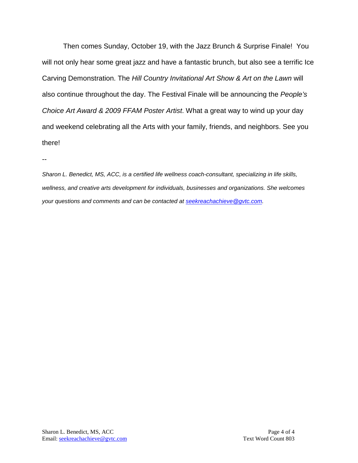Then comes Sunday, October 19, with the Jazz Brunch & Surprise Finale! You will not only hear some great jazz and have a fantastic brunch, but also see a terrific Ice Carving Demonstration. The *Hill Country Invitational Art Show & Art on the Lawn* will also continue throughout the day. The Festival Finale will be announcing the *People's Choice Art Award & 2009 FFAM Poster Artist*. What a great way to wind up your day and weekend celebrating all the Arts with your family, friends, and neighbors. See you there!

--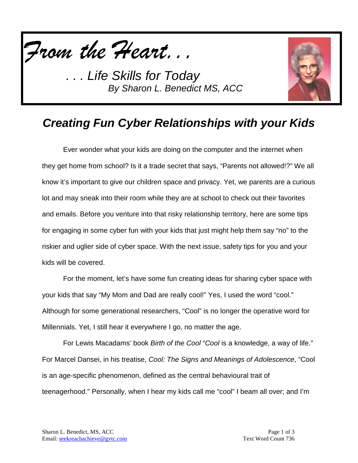

**Life Skills for Today** *By Sharon L. Benedict MS, ACC*



## *Creating Fun Cyber Relationships with your Kids*

Ever wonder what your kids are doing on the computer and the internet when they get home from school? Is it a trade secret that says, "Parents not allowed!?" We all know it's important to give our children space and privacy. Yet, we parents are a curious lot and may sneak into their room while they are at school to check out their favorites and emails. Before you venture into that risky relationship territory, here are some tips for engaging in some cyber fun with your kids that just might help them say "no" to the riskier and uglier side of cyber space. With the next issue, safety tips for you and your kids will be covered.

For the moment, let's have some fun creating ideas for sharing cyber space with your kids that say "My Mom and Dad are really cool!" Yes, I used the word "cool." Although for some generational researchers, "Cool" is no longer the operative word for Millennials. Yet, I still hear it everywhere I go, no matter the age.

For Lewis Macadams' book *Birth of the Cool* "*Cool* is a knowledge, a way of life." For Marcel Dansei, in his treatise, *Cool: The Signs and Meanings of Adolescence*, "Cool is an age-specific phenomenon, defined as the central behavioural trait of teenagerhood." Personally, when I hear my kids call me "cool" I beam all over; and I'm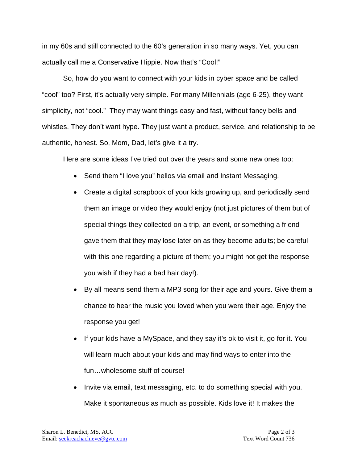in my 60s and still connected to the 60's generation in so many ways. Yet, you can actually call me a Conservative Hippie. Now that's "Cool!"

So, how do you want to connect with your kids in cyber space and be called "cool" too? First, it's actually very simple. For many Millennials (age 6-25), they want simplicity, not "cool." They may want things easy and fast, without fancy bells and whistles. They don't want hype. They just want a product, service, and relationship to be authentic, honest. So, Mom, Dad, let's give it a try.

Here are some ideas I've tried out over the years and some new ones too:

- Send them "I love you" hellos via email and Instant Messaging.
- Create a digital scrapbook of your kids growing up, and periodically send them an image or video they would enjoy (not just pictures of them but of special things they collected on a trip, an event, or something a friend gave them that they may lose later on as they become adults; be careful with this one regarding a picture of them; you might not get the response you wish if they had a bad hair day!).
- By all means send them a MP3 song for their age and yours. Give them a chance to hear the music you loved when you were their age. Enjoy the response you get!
- If your kids have a MySpace, and they say it's ok to visit it, go for it. You will learn much about your kids and may find ways to enter into the fun…wholesome stuff of course!
- Invite via email, text messaging, etc. to do something special with you. Make it spontaneous as much as possible. Kids love it! It makes the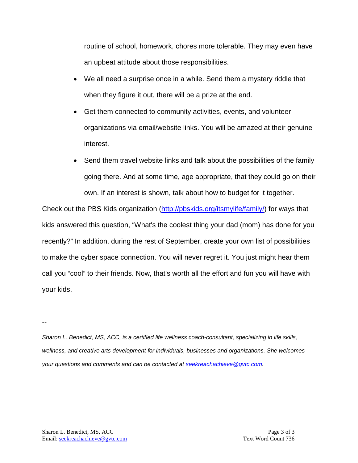routine of school, homework, chores more tolerable. They may even have an upbeat attitude about those responsibilities.

- We all need a surprise once in a while. Send them a mystery riddle that when they figure it out, there will be a prize at the end.
- Get them connected to community activities, events, and volunteer organizations via email/website links. You will be amazed at their genuine interest.
- Send them travel website links and talk about the possibilities of the family going there. And at some time, age appropriate, that they could go on their own. If an interest is shown, talk about how to budget for it together.

Check out the PBS Kids organization [\(http://pbskids.org/itsmylife/family/\)](http://pbskids.org/itsmylife/family/) for ways that kids answered this question, "What's the coolest thing your dad (mom) has done for you recently?" In addition, during the rest of September, create your own list of possibilities to make the cyber space connection. You will never regret it. You just might hear them call you "cool" to their friends. Now, that's worth all the effort and fun you will have with your kids.

--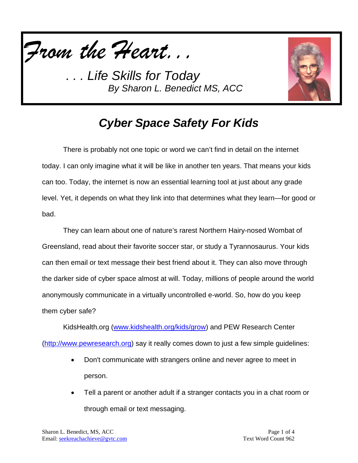

*. . . Life Skills for Today By Sharon L. Benedict MS, ACC*



## *Cyber Space Safety For Kids*

There is probably not one topic or word we can't find in detail on the internet today. I can only imagine what it will be like in another ten years. That means your kids can too. Today, the internet is now an essential learning tool at just about any grade level. Yet, it depends on what they link into that determines what they learn—for good or bad.

They can learn about one of nature's rarest Northern Hairy-nosed Wombat of Greensland, read about their favorite soccer star, or study a Tyrannosaurus. Your kids can then email or text message their best friend about it. They can also move through the darker side of cyber space almost at will. Today, millions of people around the world anonymously communicate in a virtually uncontrolled e-world. So, how do you keep them cyber safe?

KidsHealth.org [\(www.kidshealth.org/kids/grow\)](http://www.kidshealth.org/kids/grow) and PEW Research Center [\(http://www.pewresearch.org\)](http://www.pewresearch.org/) say it really comes down to just a few simple guidelines:

- Don't communicate with strangers online and never agree to meet in person.
- Tell a parent or another adult if a stranger contacts you in a chat room or through email or text messaging.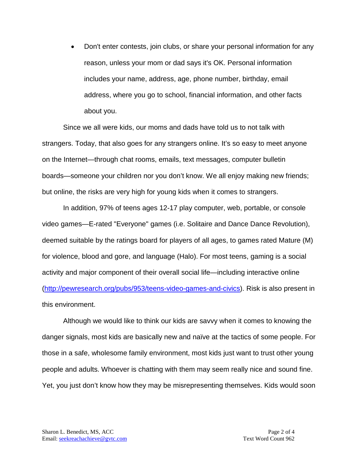• Don't enter contests, join clubs, or share your personal information for any reason, unless your mom or dad says it's OK. Personal information includes your name, address, age, phone number, birthday, email address, where you go to school, financial information, and other facts about you.

Since we all were kids, our moms and dads have told us to not talk with strangers. Today, that also goes for any strangers online. It's so easy to meet anyone on the Internet—through chat rooms, emails, text messages, computer bulletin boards—someone your children nor you don't know. We all enjoy making new friends; but online, the risks are very high for young kids when it comes to strangers.

In addition, 97% of teens ages 12-17 play computer, web, portable, or console video games—E-rated "Everyone" games (i.e. Solitaire and Dance Dance Revolution), deemed suitable by the ratings board for players of all ages, to games rated Mature (M) for violence, blood and gore, and language (Halo). For most teens, gaming is a social activity and major component of their overall social life—including interactive online [\(http://pewresearch.org/pubs/953/teens-video-games-and-civics\)](http://pewresearch.org/pubs/953/teens-video-games-and-civics). Risk is also present in this environment.

Although we would like to think our kids are savvy when it comes to knowing the danger signals, most kids are basically new and naïve at the tactics of some people. For those in a safe, wholesome family environment, most kids just want to trust other young people and adults. Whoever is chatting with them may seem really nice and sound fine. Yet, you just don't know how they may be misrepresenting themselves. Kids would soon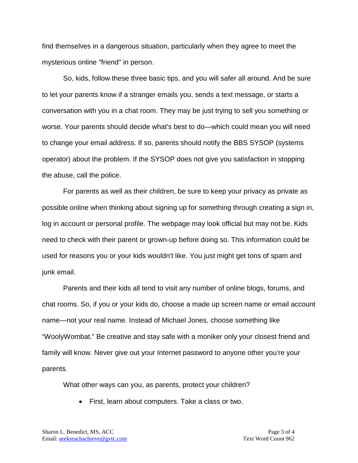find themselves in a dangerous situation, particularly when they agree to meet the mysterious online "friend" in person.

So, kids, follow these three basic tips, and you will safer all around. And be sure to let your parents know if a stranger emails you, sends a text message, or starts a conversation with you in a chat room. They may be just trying to sell you something or worse. Your parents should decide what's best to do—which could mean you will need to change your email address. If so, parents should notify the BBS SYSOP (systems operator) about the problem. If the SYSOP does not give you satisfaction in stopping the abuse, call the police.

For parents as well as their children, be sure to keep your privacy as private as possible online when thinking about signing up for something through creating a sign in, log in account or personal profile. The webpage may look official but may not be. Kids need to check with their parent or grown-up before doing so. This information could be used for reasons you or your kids wouldn't like. You just might get tons of spam and junk email.

Parents and their kids all tend to visit any number of online blogs, forums, and chat rooms. So, if you or your kids do, choose a made up screen name or email account name—not your real name. Instead of Michael Jones, choose something like "WoolyWombat." Be creative and stay safe with a moniker only your closest friend and family will know. Never give out your Internet password to anyone other you're your parents.

What other ways can you, as parents, protect your children?

• First, learn about computers. Take a class or two.